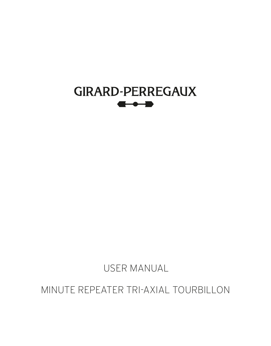

USER MANUAL

MINUTE REPEATER TRI-AXIAL TOURBILLON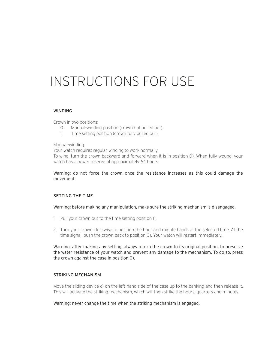# INSTRUCTIONS FOR USE

#### WINDING

Crown in two positions:

- 0. Manual-winding position (crown not pulled out).
- 1. Time setting position (crown fully pulled out).

#### Manual-winding:

Your watch requires regular winding to work normally. To wind, turn the crown backward and forward when it is in position 0). When fully wound, your watch has a power reserve of approximately 64 hours.

Warning: do not force the crown once the resistance increases as this could damage the movement.

### SETTING THE TIME

Warning: before making any manipulation, make sure the striking mechanism is disengaged.

- 1. Pull your crown out to the time setting position 1).
- 2. Turn your crown clockwise to position the hour and minute hands at the selected time. At the time signal, push the crown back to position 0). Your watch will restart immediately.

Warning: after making any setting, always return the crown to its original position, to preserve the water resistance of your watch and prevent any damage to the mechanism. To do so, press the crown against the case in position 0).

#### STRIKING MECHANISM

Move the sliding device c) on the left-hand side of the case up to the banking and then release it. This will activate the striking mechanism, which will then strike the hours, quarters and minutes.

Warning: never change the time when the striking mechanism is engaged.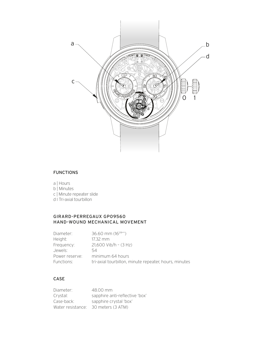

## FUNCTIONS

- a | Hours
- b | Minutes
- c | Minute repeater slide
- d I Tri-axial tourbillon

## GIRARD-PERREGAUX GP09560 HAND-WOUND MECHANICAL MOVEMENT

| Diameter:      | 36.60 mm $(16^{1/4}$ "                                |
|----------------|-------------------------------------------------------|
| Height:        | $17.32$ mm                                            |
| Frequency:     | $21.600$ Vib/h - $(3$ Hz)                             |
| Jewels:        | 54                                                    |
| Power reserve: | minimum 64 hours                                      |
| Functions:     | tri-axial tourbillon, minute repeater, hours, minutes |

## CASE

| Diameter:         | 48.00 mm                       |
|-------------------|--------------------------------|
| Crystal:          | sapphire anti-reflective 'box' |
| Case-back:        | sapphire crystal 'box'         |
| Water resistance: | 30 meters (3 ATM)              |